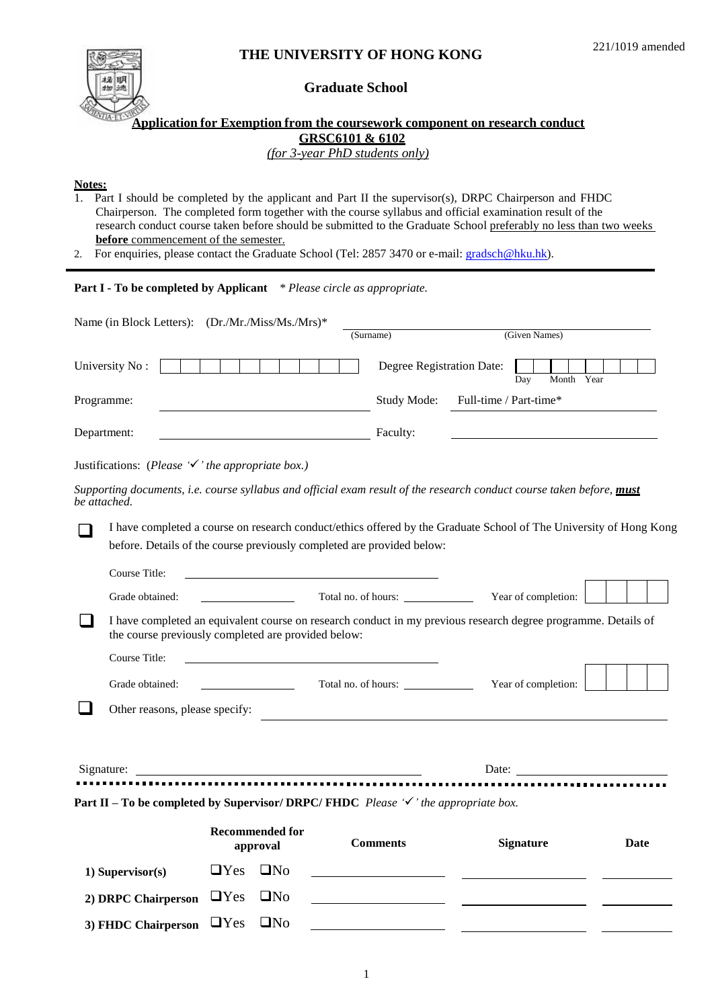# 梯 明 遗

## **THE UNIVERSITY OF HONG KONG**

### **Graduate School**

#### **Application for Exemption from the coursework component on research conduct GRSC6101 & 6102** *(for 3-year PhD students only)*

**Notes:**

- 1. Part I should be completed by the applicant and Part II the supervisor(s), DRPC Chairperson and FHDC Chairperson. The completed form together with the course syllabus and official examination result of the research conduct course taken before should be submitted to the Graduate School preferably no less than two weeks **before** commencement of the semester.
- 2. For enquiries, please contact the Graduate School (Tel: 2857 3470 or e-mail: **gradsch@hku.hk**).

#### **Part I - To be completed by Applicant** *\* Please circle as appropriate.*

| Name (in Block Letters): (Dr./Mr./Miss/Ms./Mrs)*                                                                                      |                                                                                                                                                                                              |                                         |                        |                                                                                                                                                                                                                                |                          |
|---------------------------------------------------------------------------------------------------------------------------------------|----------------------------------------------------------------------------------------------------------------------------------------------------------------------------------------------|-----------------------------------------|------------------------|--------------------------------------------------------------------------------------------------------------------------------------------------------------------------------------------------------------------------------|--------------------------|
|                                                                                                                                       |                                                                                                                                                                                              | (Surname)                               |                        | (Given Names)                                                                                                                                                                                                                  |                          |
| University No:                                                                                                                        |                                                                                                                                                                                              | Degree Registration Date:               |                        | Day<br>Month Year                                                                                                                                                                                                              |                          |
| Programme:                                                                                                                            |                                                                                                                                                                                              | Study Mode:                             | Full-time / Part-time* |                                                                                                                                                                                                                                |                          |
| Department:                                                                                                                           | <b>Example 2</b> Faculty:                                                                                                                                                                    |                                         |                        |                                                                                                                                                                                                                                |                          |
| Justifications: (Please $\checkmark$ 'the appropriate box.)                                                                           |                                                                                                                                                                                              |                                         |                        |                                                                                                                                                                                                                                |                          |
| Supporting documents, i.e. course syllabus and official exam result of the research conduct course taken before, must<br>be attached. |                                                                                                                                                                                              |                                         |                        |                                                                                                                                                                                                                                |                          |
|                                                                                                                                       | I have completed a course on research conduct/ethics offered by the Graduate School of The University of Hong Kong<br>before. Details of the course previously completed are provided below: |                                         |                        |                                                                                                                                                                                                                                |                          |
| Course Title:<br>Grade obtained:                                                                                                      |                                                                                                                                                                                              | Total no. of hours: Vear of completion: |                        |                                                                                                                                                                                                                                |                          |
|                                                                                                                                       | I have completed an equivalent course on research conduct in my previous research degree programme. Details of<br>the course previously completed are provided below:                        |                                         |                        |                                                                                                                                                                                                                                |                          |
| Course Title:                                                                                                                         |                                                                                                                                                                                              |                                         |                        |                                                                                                                                                                                                                                |                          |
| Grade obtained:                                                                                                                       |                                                                                                                                                                                              | Total no. of hours:                     |                        | Year of completion:                                                                                                                                                                                                            |                          |
| Other reasons, please specify:                                                                                                        |                                                                                                                                                                                              |                                         |                        |                                                                                                                                                                                                                                |                          |
| Signature:                                                                                                                            |                                                                                                                                                                                              |                                         |                        | Date: the contract of the contract of the contract of the contract of the contract of the contract of the contract of the contract of the contract of the contract of the contract of the contract of the contract of the cont | ------------------------ |
| Part II – To be completed by Supervisor/DRPC/FHDC Please $\checkmark$ the appropriate box.                                            |                                                                                                                                                                                              |                                         |                        |                                                                                                                                                                                                                                |                          |
|                                                                                                                                       | <b>Recommended for</b><br>approval                                                                                                                                                           | <b>Comments</b>                         |                        | <b>Signature</b>                                                                                                                                                                                                               | Date                     |
| 1) Supervisor(s)                                                                                                                      | $\Box$ Yes<br>$\Box$ No                                                                                                                                                                      |                                         |                        |                                                                                                                                                                                                                                |                          |
| 2) DRPC Chairperson                                                                                                                   | $\Box$ Yes<br>UN <sub>0</sub>                                                                                                                                                                |                                         |                        |                                                                                                                                                                                                                                |                          |
| 3) FHDC Chairperson                                                                                                                   | $\Box$ Yes<br>$\square$ No                                                                                                                                                                   |                                         |                        |                                                                                                                                                                                                                                |                          |